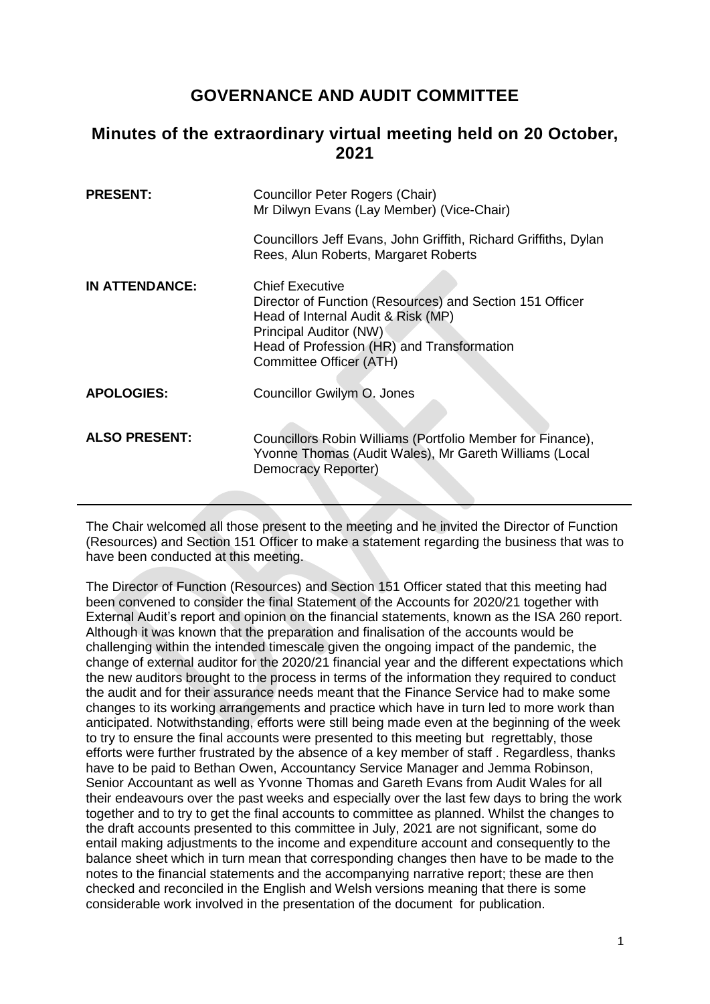## **GOVERNANCE AND AUDIT COMMITTEE**

## **Minutes of the extraordinary virtual meeting held on 20 October, 2021**

| <b>PRESENT:</b>       | Councillor Peter Rogers (Chair)<br>Mr Dilwyn Evans (Lay Member) (Vice-Chair)                                                                                                                                                |
|-----------------------|-----------------------------------------------------------------------------------------------------------------------------------------------------------------------------------------------------------------------------|
|                       | Councillors Jeff Evans, John Griffith, Richard Griffiths, Dylan<br>Rees, Alun Roberts, Margaret Roberts                                                                                                                     |
| <b>IN ATTENDANCE:</b> | <b>Chief Executive</b><br>Director of Function (Resources) and Section 151 Officer<br>Head of Internal Audit & Risk (MP)<br>Principal Auditor (NW)<br>Head of Profession (HR) and Transformation<br>Committee Officer (ATH) |
| <b>APOLOGIES:</b>     | Councillor Gwilym O. Jones                                                                                                                                                                                                  |
| <b>ALSO PRESENT:</b>  | Councillors Robin Williams (Portfolio Member for Finance),<br>Yvonne Thomas (Audit Wales), Mr Gareth Williams (Local<br>Democracy Reporter)                                                                                 |

The Chair welcomed all those present to the meeting and he invited the Director of Function (Resources) and Section 151 Officer to make a statement regarding the business that was to have been conducted at this meeting.

The Director of Function (Resources) and Section 151 Officer stated that this meeting had been convened to consider the final Statement of the Accounts for 2020/21 together with External Audit's report and opinion on the financial statements, known as the ISA 260 report. Although it was known that the preparation and finalisation of the accounts would be challenging within the intended timescale given the ongoing impact of the pandemic, the change of external auditor for the 2020/21 financial year and the different expectations which the new auditors brought to the process in terms of the information they required to conduct the audit and for their assurance needs meant that the Finance Service had to make some changes to its working arrangements and practice which have in turn led to more work than anticipated. Notwithstanding, efforts were still being made even at the beginning of the week to try to ensure the final accounts were presented to this meeting but regrettably, those efforts were further frustrated by the absence of a key member of staff . Regardless, thanks have to be paid to Bethan Owen, Accountancy Service Manager and Jemma Robinson, Senior Accountant as well as Yvonne Thomas and Gareth Evans from Audit Wales for all their endeavours over the past weeks and especially over the last few days to bring the work together and to try to get the final accounts to committee as planned. Whilst the changes to the draft accounts presented to this committee in July, 2021 are not significant, some do entail making adjustments to the income and expenditure account and consequently to the balance sheet which in turn mean that corresponding changes then have to be made to the notes to the financial statements and the accompanying narrative report; these are then checked and reconciled in the English and Welsh versions meaning that there is some considerable work involved in the presentation of the document for publication.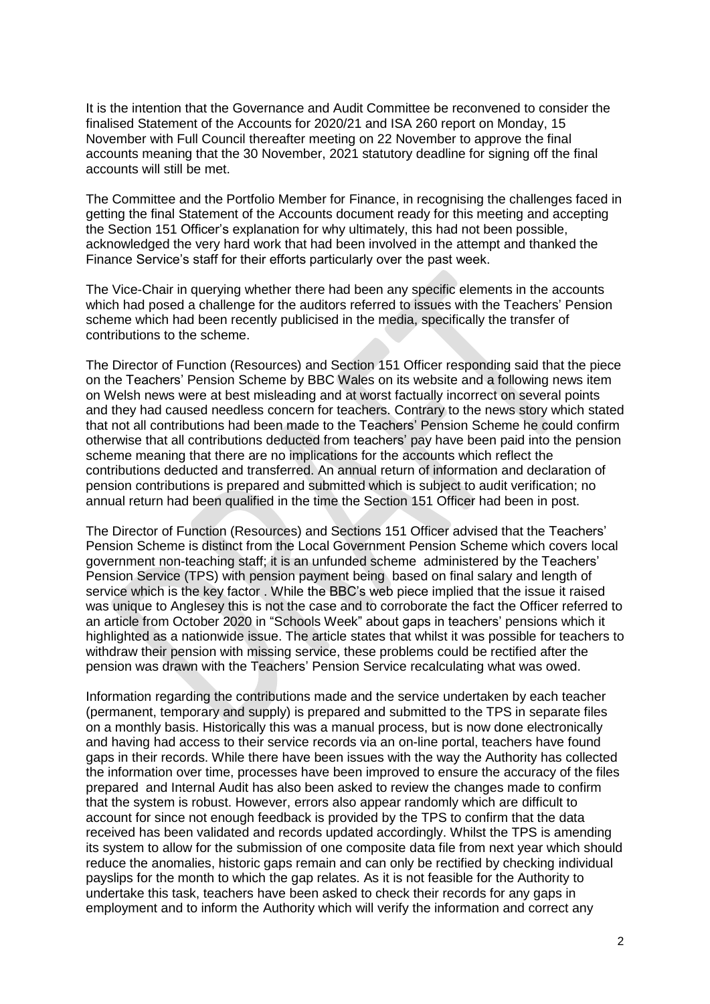It is the intention that the Governance and Audit Committee be reconvened to consider the finalised Statement of the Accounts for 2020/21 and ISA 260 report on Monday, 15 November with Full Council thereafter meeting on 22 November to approve the final accounts meaning that the 30 November, 2021 statutory deadline for signing off the final accounts will still be met.

The Committee and the Portfolio Member for Finance, in recognising the challenges faced in getting the final Statement of the Accounts document ready for this meeting and accepting the Section 151 Officer's explanation for why ultimately, this had not been possible, acknowledged the very hard work that had been involved in the attempt and thanked the Finance Service's staff for their efforts particularly over the past week.

The Vice-Chair in querying whether there had been any specific elements in the accounts which had posed a challenge for the auditors referred to issues with the Teachers' Pension scheme which had been recently publicised in the media, specifically the transfer of contributions to the scheme.

The Director of Function (Resources) and Section 151 Officer responding said that the piece on the Teachers' Pension Scheme by BBC Wales on its website and a following news item on Welsh news were at best misleading and at worst factually incorrect on several points and they had caused needless concern for teachers. Contrary to the news story which stated that not all contributions had been made to the Teachers' Pension Scheme he could confirm otherwise that all contributions deducted from teachers' pay have been paid into the pension scheme meaning that there are no implications for the accounts which reflect the contributions deducted and transferred. An annual return of information and declaration of pension contributions is prepared and submitted which is subject to audit verification; no annual return had been qualified in the time the Section 151 Officer had been in post.

The Director of Function (Resources) and Sections 151 Officer advised that the Teachers' Pension Scheme is distinct from the Local Government Pension Scheme which covers local government non-teaching staff; it is an unfunded scheme administered by the Teachers' Pension Service (TPS) with pension payment being based on final salary and length of service which is the key factor . While the BBC's web piece implied that the issue it raised was unique to Anglesey this is not the case and to corroborate the fact the Officer referred to an article from October 2020 in "Schools Week" about gaps in teachers' pensions which it highlighted as a nationwide issue. The article states that whilst it was possible for teachers to withdraw their pension with missing service, these problems could be rectified after the pension was drawn with the Teachers' Pension Service recalculating what was owed.

Information regarding the contributions made and the service undertaken by each teacher (permanent, temporary and supply) is prepared and submitted to the TPS in separate files on a monthly basis. Historically this was a manual process, but is now done electronically and having had access to their service records via an on-line portal, teachers have found gaps in their records. While there have been issues with the way the Authority has collected the information over time, processes have been improved to ensure the accuracy of the files prepared and Internal Audit has also been asked to review the changes made to confirm that the system is robust. However, errors also appear randomly which are difficult to account for since not enough feedback is provided by the TPS to confirm that the data received has been validated and records updated accordingly. Whilst the TPS is amending its system to allow for the submission of one composite data file from next year which should reduce the anomalies, historic gaps remain and can only be rectified by checking individual payslips for the month to which the gap relates. As it is not feasible for the Authority to undertake this task, teachers have been asked to check their records for any gaps in employment and to inform the Authority which will verify the information and correct any